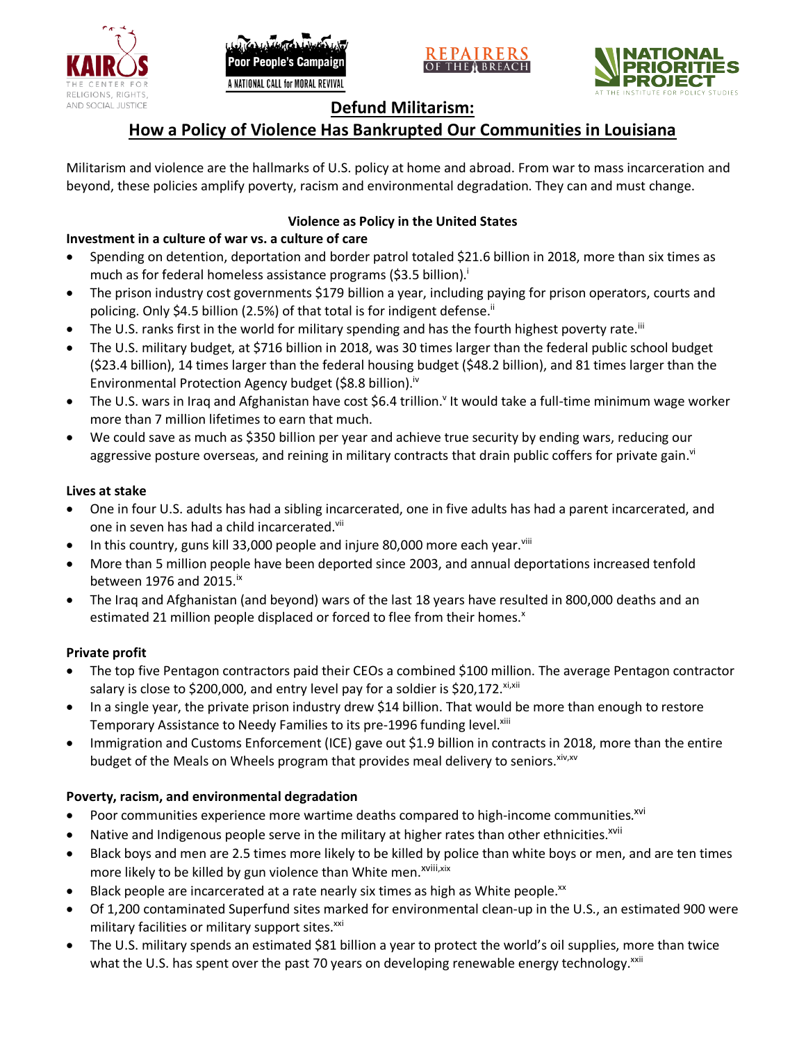





# **Defund Militarism:**

# **How a Policy of Violence Has Bankrupted Our Communities in Louisiana**

Militarism and violence are the hallmarks of U.S. policy at home and abroad. From war to mass incarceration and beyond, these policies amplify poverty, racism and environmental degradation. They can and must change.

# **Violence as Policy in the United States**

### **Investment in a culture of war vs. a culture of care**

- Spending on detention, deportation and border patrol totaled \$21.6 billion in 2018, more than six times as much as for federal homeless assistance programs (\$3.5 billion).<sup>i</sup>
- The prison industry cost governments \$179 billion a year, including paying for prison operators, courts and policing. Only \$4.5 billion (2.5%) of that total is for indigent defense.<sup>ii</sup>
- The U.S. ranks first in the world for military spending and has the fourth highest poverty rate.<sup>iii</sup>
- The U.S. military budget, at \$716 billion in 2018, was 30 times larger than the federal public school budget (\$23.4 billion), 14 times larger than the federal housing budget (\$48.2 billion), and 81 times larger than the Environmental Protection Agency budget (\$8.8 billion).<sup>iv</sup>
- The U.S. wars in Iraq and Afghanistan have cost \$6.4 trillion.<sup>v</sup> It would take a full-time minimum wage worker more than 7 million lifetimes to earn that much.
- We could save as much as \$350 billion per year and achieve true security by ending wars, reducing our aggressive posture overseas, and reining in military contracts that drain public coffers for private gain.<sup>vi</sup>

### **Lives at stake**

- One in four U.S. adults has had a sibling incarcerated, one in five adults has had a parent incarcerated, and one in seven has had a child incarcerated.vii
- In this country, guns kill 33,000 people and injure 80,000 more each year. $v_{\text{lin}}$
- More than 5 million people have been deported since 2003, and annual deportations increased tenfold between 1976 and 2015. $\mathrm{i}$ <sup>x</sup>
- The Iraq and Afghanistan (and beyond) wars of the last 18 years have resulted in 800,000 deaths and an estimated 21 million people displaced or forced to flee from their homes.<sup>x</sup>

#### **Private profit**

- The top five Pentagon contractors paid their CEOs a combined \$100 million. The average Pentagon contractor salary is close to \$200,000, and entry level pay for a soldier is \$20,172. xi,xii
- In a single year, the private prison industry drew \$14 billion. That would be more than enough to restore Temporary Assistance to Needy Families to its pre-1996 funding level.<sup>xiii</sup>
- Immigration and Customs Enforcement (ICE) gave out \$1.9 billion in contracts in 2018, more than the entire budget of the Meals on Wheels program that provides meal delivery to seniors. Xiv, XV

# **Poverty, racism, and environmental degradation**

- Poor communities experience more wartime deaths compared to high-income communities.<sup>xvi</sup>
- Native and Indigenous people serve in the military at higher rates than other ethnicities.<sup>xvii</sup>
- Black boys and men are 2.5 times more likely to be killed by police than white boys or men, and are ten times more likely to be killed by gun violence than White men.<sup>xviii,xix</sup>
- Black people are incarcerated at a rate nearly six times as high as White people.<sup>xx</sup>
- Of 1,200 contaminated Superfund sites marked for environmental clean-up in the U.S., an estimated 900 were military facilities or military support sites.<sup>xxi</sup>
- The U.S. military spends an estimated \$81 billion a year to protect the world's oil supplies, more than twice what the U.S. has spent over the past 70 years on developing renewable energy technology.<sup>xxii</sup>